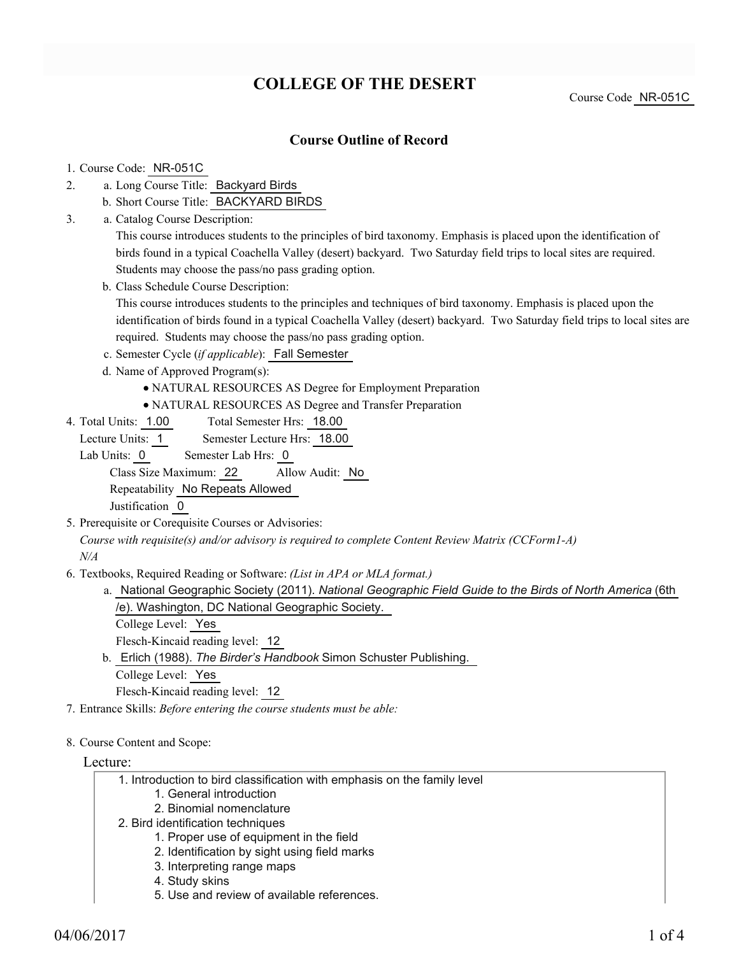# **COLLEGE OF THE DESERT**

Course Code NR-051C

# **Course Outline of Record**

### 1. Course Code: NR-051C

- a. Long Course Title: Backyard Birds 2.
	- b. Short Course Title: BACKYARD BIRDS
- Catalog Course Description: a. 3.

This course introduces students to the principles of bird taxonomy. Emphasis is placed upon the identification of birds found in a typical Coachella Valley (desert) backyard. Two Saturday field trips to local sites are required. Students may choose the pass/no pass grading option.

b. Class Schedule Course Description:

This course introduces students to the principles and techniques of bird taxonomy. Emphasis is placed upon the identification of birds found in a typical Coachella Valley (desert) backyard. Two Saturday field trips to local sites are required. Students may choose the pass/no pass grading option.

- c. Semester Cycle (*if applicable*): Fall Semester
- d. Name of Approved Program(s):
	- NATURAL RESOURCES AS Degree for Employment Preparation
	- NATURAL RESOURCES AS Degree and Transfer Preparation
- Total Semester Hrs: 18.00 4. Total Units: 1.00

Lecture Units: 1 Semester Lecture Hrs: 18.00

Lab Units: 0 Semester Lab Hrs: 0

Class Size Maximum: 22 Allow Audit: No

Repeatability No Repeats Allowed

Justification 0

5. Prerequisite or Corequisite Courses or Advisories:

*Course with requisite(s) and/or advisory is required to complete Content Review Matrix (CCForm1-A) N/A*

- Textbooks, Required Reading or Software: *(List in APA or MLA format.)* 6.
	- a. National Geographic Society (2011). *National Geographic Field Guide to the Birds of North America* (6th /e). Washington, DC National Geographic Society.

College Level: Yes

Flesch-Kincaid reading level: 12

- b. Erlich (1988). The Birder's Handbook Simon Schuster Publishing. College Level: Yes Flesch-Kincaid reading level: 12
- 7. Entrance Skills: *Before entering the course students must be able:*

### 8. Course Content and Scope:

### Lecture:

- 1. Introduction to bird classification with emphasis on the family level
	- 1. General introduction
	- 2. Binomial nomenclature
- 2. Bird identification techniques
	- 1. Proper use of equipment in the field
	- 2. Identification by sight using field marks
	- 3. Interpreting range maps
	- 4. Study skins
	- 5. Use and review of available references.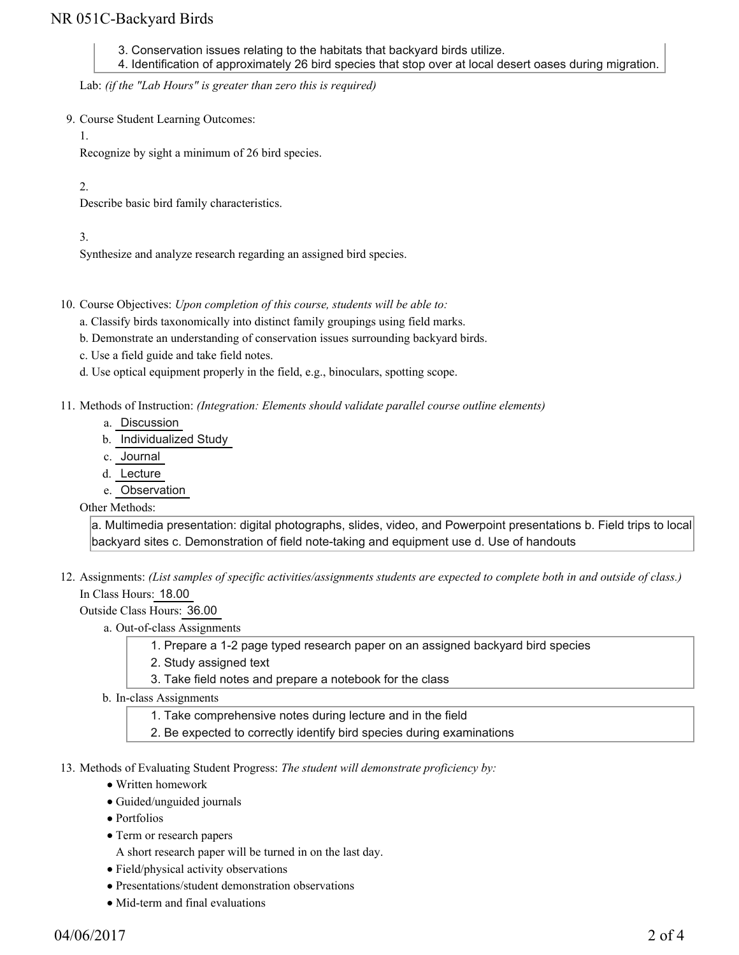# NR 051C-Backyard Birds

3. Conservation issues relating to the habitats that backyard birds utilize.

4. Identification of approximately 26 bird species that stop over at local desert oases during migration.

Lab: *(if the "Lab Hours" is greater than zero this is required)*

- 9. Course Student Learning Outcomes:
	- 1.

Recognize by sight a minimum of 26 bird species.

### 2.

Describe basic bird family characteristics.

## 3.

Synthesize and analyze research regarding an assigned bird species.

- 10. Course Objectives: Upon completion of this course, students will be able to:
	- a. Classify birds taxonomically into distinct family groupings using field marks.
	- b. Demonstrate an understanding of conservation issues surrounding backyard birds.
	- c. Use a field guide and take field notes.
	- d. Use optical equipment properly in the field, e.g., binoculars, spotting scope.
- 11. Methods of Instruction: *(Integration: Elements should validate parallel course outline elements)* 
	- a. Discussion
	- b. Individualized Study
	- c. Journal
	- d. Lecture
	- e. Observation

### Other Methods:

a. Multimedia presentation: digital photographs, slides, video, and Powerpoint presentations b. Field trips to local backyard sites c. Demonstration of field note-taking and equipment use d. Use of handouts

12. Assignments: (List samples of specific activities/assignments students are expected to complete both in and outside of class.) In Class Hours: 18.00

Outside Class Hours: 36.00

- a. Out-of-class Assignments
	- 1. Prepare a 1-2 page typed research paper on an assigned backyard bird species
	- 2. Study assigned text
	- 3. Take field notes and prepare a notebook for the class
- b. In-class Assignments
	- 1. Take comprehensive notes during lecture and in the field
	- 2. Be expected to correctly identify bird species during examinations
- 13. Methods of Evaluating Student Progress: The student will demonstrate proficiency by:
	- Written homework
	- Guided/unguided journals
	- Portfolios
	- Term or research papers
		- A short research paper will be turned in on the last day.
	- Field/physical activity observations
	- Presentations/student demonstration observations
	- Mid-term and final evaluations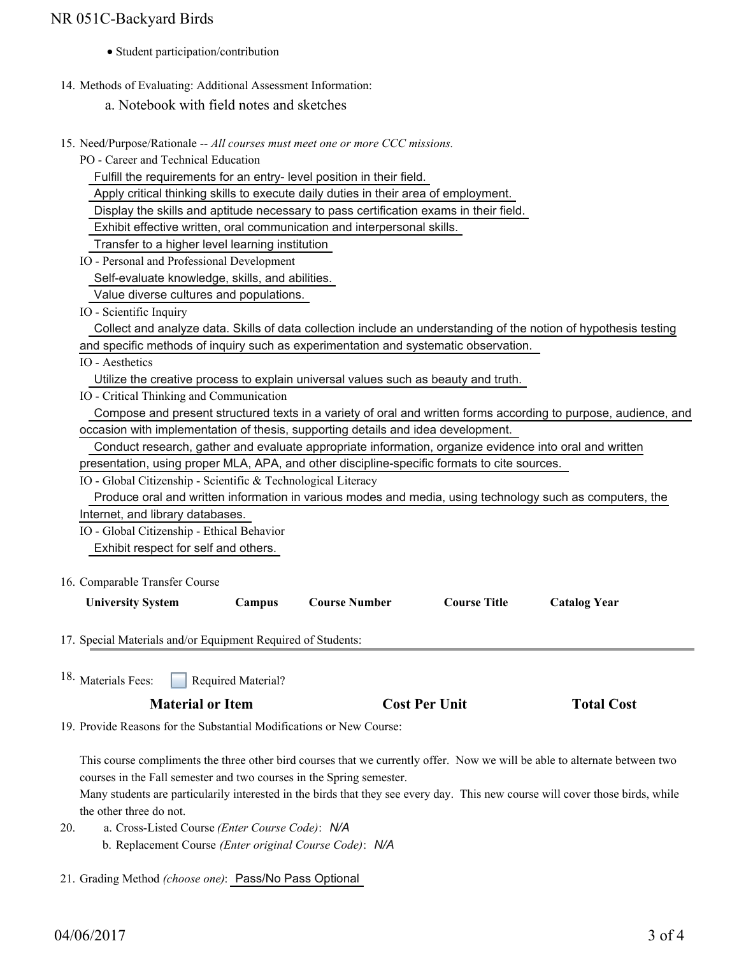# NR 051C-Backyard Birds

- Student participation/contribution
- 14. Methods of Evaluating: Additional Assessment Information:

a. Notebook with field notes and sketches

15. Need/Purpose/Rationale -- All courses must meet one or more CCC missions.

PO - Career and Technical Education

Fulfill the requirements for an entry- level position in their field.

Apply critical thinking skills to execute daily duties in their area of employment.

Display the skills and aptitude necessary to pass certification exams in their field.

Exhibit effective written, oral communication and interpersonal skills.

Transfer to a higher level learning institution

IO - Personal and Professional Development

Self-evaluate knowledge, skills, and abilities.

Value diverse cultures and populations.

IO - Scientific Inquiry

 Collect and analyze data. Skills of data collection include an understanding of the notion of hypothesis testing and specific methods of inquiry such as experimentation and systematic observation.

IO - Aesthetics

Utilize the creative process to explain universal values such as beauty and truth.

IO - Critical Thinking and Communication

|                                                                                  | Compose and present structured texts in a variety of oral and written forms according to purpose, audience, and |  |  |  |  |  |  |
|----------------------------------------------------------------------------------|-----------------------------------------------------------------------------------------------------------------|--|--|--|--|--|--|
| occasion with implementation of thesis, supporting details and idea development. |                                                                                                                 |  |  |  |  |  |  |

Conduct research, gather and evaluate appropriate information, organize evidence into oral and written

presentation, using proper MLA, APA, and other discipline-specific formats to cite sources.

IO - Global Citizenship - Scientific & Technological Literacy

 Produce oral and written information in various modes and media, using technology such as computers, the Internet, and library databases.

IO - Global Citizenship - Ethical Behavior

Exhibit respect for self and others.

16. Comparable Transfer Course

| <b>University System</b> | Campus | <b>Course Number</b> | <b>Course Title</b> | <b>Catalog Year</b> |
|--------------------------|--------|----------------------|---------------------|---------------------|
|                          |        |                      |                     |                     |

17. Special Materials and/or Equipment Required of Students:

Required Material? <sup>18.</sup> Materials Fees:

19. Provide Reasons for the Substantial Modifications or New Course:

This course compliments the three other bird courses that we currently offer. Now we will be able to alternate between two courses in the Fall semester and two courses in the Spring semester.

Many students are particularily interested in the birds that they see every day. This new course will cover those birds, while the other three do not.

- a. Cross-Listed Course *(Enter Course Code)*: *N/A* b. Replacement Course *(Enter original Course Code)*: *N/A* 20.
- 21. Grading Method *(choose one)*: Pass/No Pass Optional

**Total Cost**